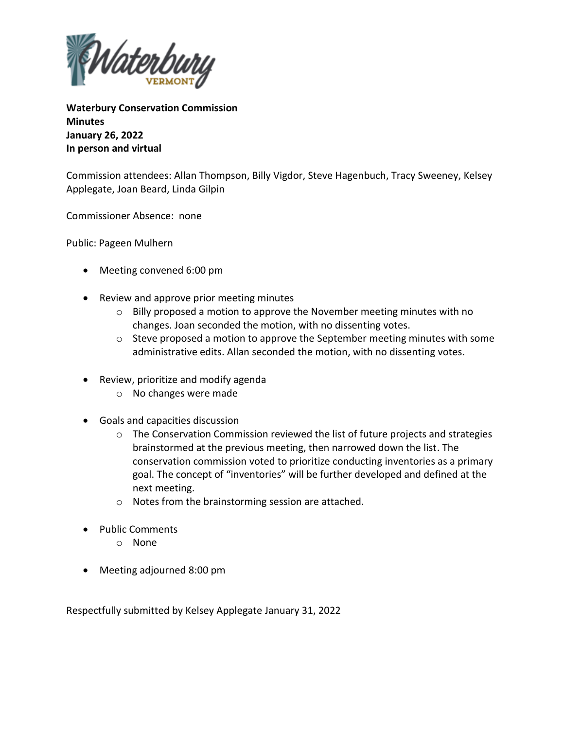

**Waterbury Conservation Commission Minutes January 26, 2022 In person and virtual**

Commission attendees: Allan Thompson, Billy Vigdor, Steve Hagenbuch, Tracy Sweeney, Kelsey Applegate, Joan Beard, Linda Gilpin

Commissioner Absence: none

Public: Pageen Mulhern

- Meeting convened 6:00 pm
- Review and approve prior meeting minutes
	- $\circ$  Billy proposed a motion to approve the November meeting minutes with no changes. Joan seconded the motion, with no dissenting votes.
	- o Steve proposed a motion to approve the September meeting minutes with some administrative edits. Allan seconded the motion, with no dissenting votes.
- Review, prioritize and modify agenda
	- o No changes were made
- Goals and capacities discussion
	- $\circ$  The Conservation Commission reviewed the list of future projects and strategies brainstormed at the previous meeting, then narrowed down the list. The conservation commission voted to prioritize conducting inventories as a primary goal. The concept of "inventories" will be further developed and defined at the next meeting.
	- o Notes from the brainstorming session are attached.
- Public Comments
	- o None
- Meeting adjourned 8:00 pm

Respectfully submitted by Kelsey Applegate January 31, 2022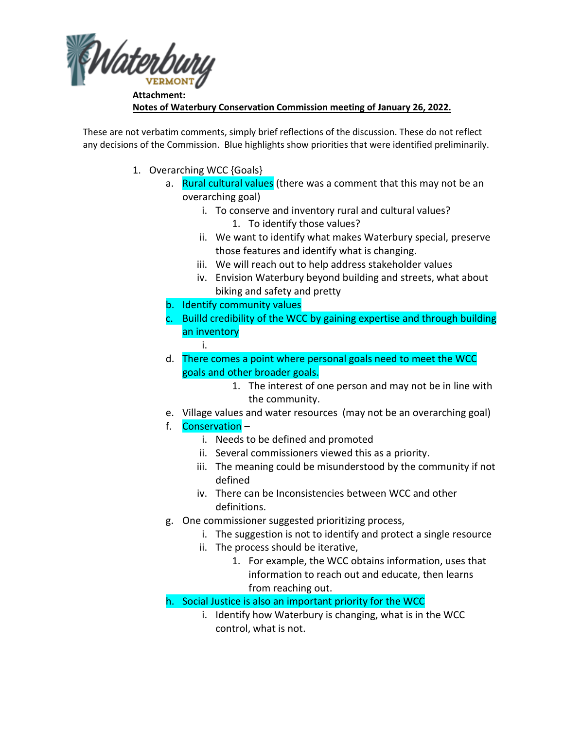

**Attachment: Notes of Waterbury Conservation Commission meeting of January 26, 2022.**

These are not verbatim comments, simply brief reflections of the discussion. These do not reflect any decisions of the Commission. Blue highlights show priorities that were identified preliminarily.

- 1. Overarching WCC {Goals}
	- a. Rural cultural values (there was a comment that this may not be an overarching goal)
		- i. To conserve and inventory rural and cultural values?
			- 1. To identify those values?
		- ii. We want to identify what makes Waterbury special, preserve those features and identify what is changing.
		- iii. We will reach out to help address stakeholder values
		- iv. Envision Waterbury beyond building and streets, what about biking and safety and pretty
	- b. Identify community values
	- c. Builld credibility of the WCC by gaining expertise and through building an inventory
		- i.
	- d. There comes a point where personal goals need to meet the WCC goals and other broader goals.
		- 1. The interest of one person and may not be in line with the community.
	- e. Village values and water resources (may not be an overarching goal)
	- f. Conservation
		- i. Needs to be defined and promoted
		- ii. Several commissioners viewed this as a priority.
		- iii. The meaning could be misunderstood by the community if not defined
		- iv. There can be Inconsistencies between WCC and other definitions.
	- g. One commissioner suggested prioritizing process,
		- i. The suggestion is not to identify and protect a single resource
		- ii. The process should be iterative,
			- 1. For example, the WCC obtains information, uses that information to reach out and educate, then learns from reaching out.
	- h. Social Justice is also an important priority for the WCC
		- i. Identify how Waterbury is changing, what is in the WCC control, what is not.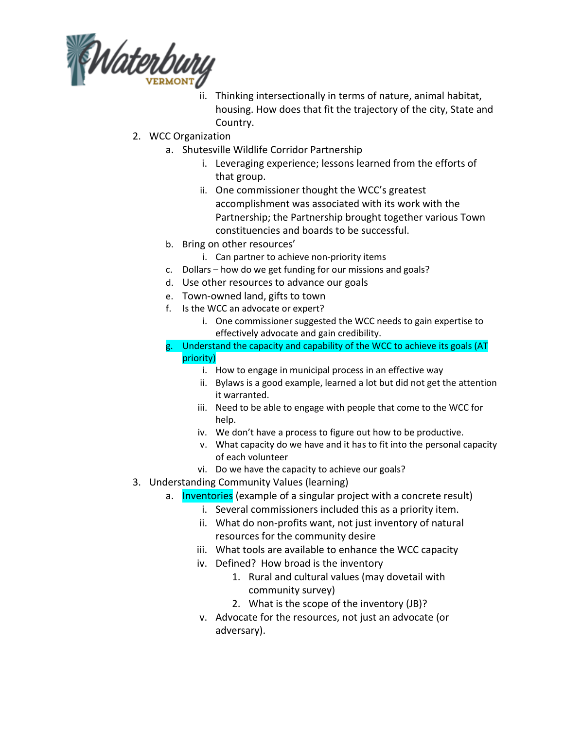

- ii. Thinking intersectionally in terms of nature, animal habitat, housing. How does that fit the trajectory of the city, State and Country.
- 2. WCC Organization
	- a. Shutesville Wildlife Corridor Partnership
		- i. Leveraging experience; lessons learned from the efforts of that group.
		- ii. One commissioner thought the WCC's greatest accomplishment was associated with its work with the Partnership; the Partnership brought together various Town constituencies and boards to be successful.
	- b. Bring on other resources'
		- i. Can partner to achieve non-priority items
	- c. Dollars how do we get funding for our missions and goals?
	- d. Use other resources to advance our goals
	- e. Town-owned land, gifts to town
	- f. Is the WCC an advocate or expert?
		- i. One commissioner suggested the WCC needs to gain expertise to effectively advocate and gain credibility.
	- Understand the capacity and capability of the WCC to achieve its goals (AT priority)
		- i. How to engage in municipal process in an effective way
		- ii. Bylaws is a good example, learned a lot but did not get the attention it warranted.
		- iii. Need to be able to engage with people that come to the WCC for help.
		- iv. We don't have a process to figure out how to be productive.
		- v. What capacity do we have and it has to fit into the personal capacity of each volunteer
		- vi. Do we have the capacity to achieve our goals?
- 3. Understanding Community Values (learning)
	- a. Inventories (example of a singular project with a concrete result)
		- i. Several commissioners included this as a priority item.
		- ii. What do non-profits want, not just inventory of natural resources for the community desire
		- iii. What tools are available to enhance the WCC capacity
		- iv. Defined? How broad is the inventory
			- 1. Rural and cultural values (may dovetail with community survey)
			- 2. What is the scope of the inventory (JB)?
		- v. Advocate for the resources, not just an advocate (or adversary).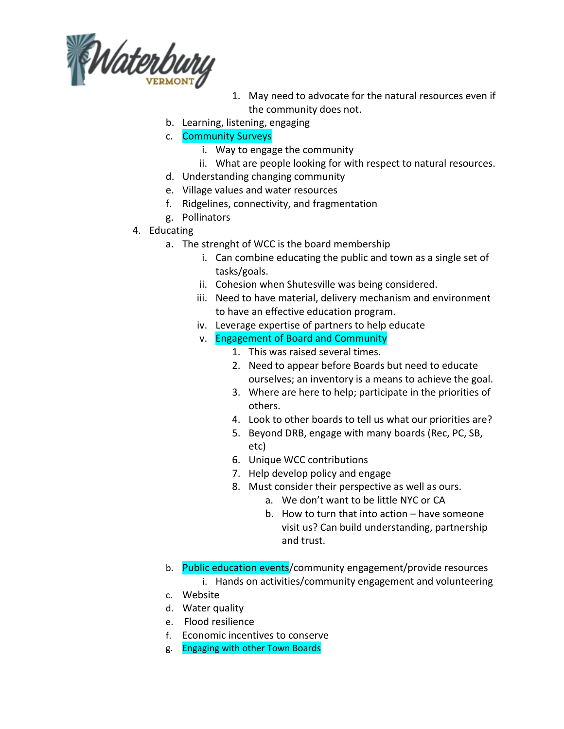

- 1. May need to advocate for the natural resources even if the community does not.
- b. Learning, listening, engaging
- c. Community Surveys
	- i. Way to engage the community
	- ii. What are people looking for with respect to natural resources.
- d. Understanding changing community
- e. Village values and water resources
- f. Ridgelines, connectivity, and fragmentation
- g. Pollinators
- 4. Educating
	- a. The strenght of WCC is the board membership
		- i. Can combine educating the public and town as a single set of tasks/goals.
		- ii. Cohesion when Shutesville was being considered.
		- iii. Need to have material, delivery mechanism and environment to have an effective education program.
		- iv. Leverage expertise of partners to help educate
		- v. Engagement of Board and Community
			- 1. This was raised several times.
			- 2. Need to appear before Boards but need to educate ourselves; an inventory is a means to achieve the goal.
			- 3. Where are here to help; participate in the priorities of others.
			- 4. Look to other boards to tell us what our priorities are?
			- 5. Beyond DRB, engage with many boards (Rec, PC, SB, etc)
			- 6. Unique WCC contributions
			- 7. Help develop policy and engage
			- 8. Must consider their perspective as well as ours.
				- a. We don't want to be little NYC or CA
				- b. How to turn that into action have someone visit us? Can build understanding, partnership and trust.
	- b. Public education events/community engagement/provide resources i. Hands on activities/community engagement and volunteering
	- c. Website
	- d. Water quality
	- e. Flood resilience
	- f. Economic incentives to conserve
	- g. Engaging with other Town Boards